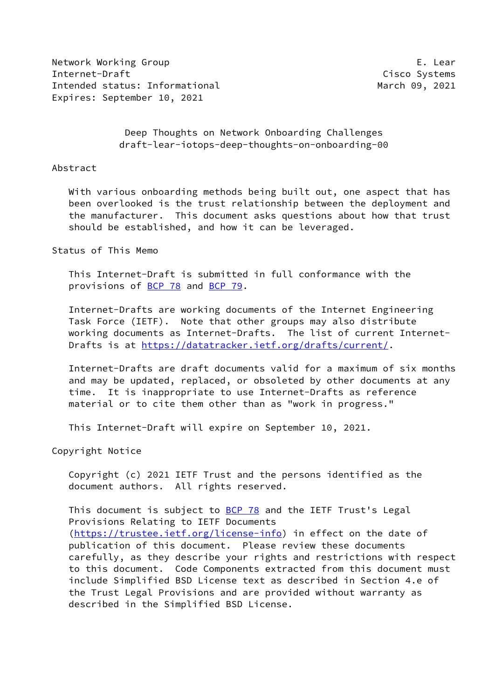Network Working Group **E. Lear** Internet-Draft Cisco Systems Intended status: Informational March 09, 2021 Expires: September 10, 2021

 Deep Thoughts on Network Onboarding Challenges draft-lear-iotops-deep-thoughts-on-onboarding-00

## Abstract

 With various onboarding methods being built out, one aspect that has been overlooked is the trust relationship between the deployment and the manufacturer. This document asks questions about how that trust should be established, and how it can be leveraged.

## Status of This Memo

 This Internet-Draft is submitted in full conformance with the provisions of [BCP 78](https://datatracker.ietf.org/doc/pdf/bcp78) and [BCP 79](https://datatracker.ietf.org/doc/pdf/bcp79).

 Internet-Drafts are working documents of the Internet Engineering Task Force (IETF). Note that other groups may also distribute working documents as Internet-Drafts. The list of current Internet Drafts is at<https://datatracker.ietf.org/drafts/current/>.

 Internet-Drafts are draft documents valid for a maximum of six months and may be updated, replaced, or obsoleted by other documents at any time. It is inappropriate to use Internet-Drafts as reference material or to cite them other than as "work in progress."

This Internet-Draft will expire on September 10, 2021.

Copyright Notice

 Copyright (c) 2021 IETF Trust and the persons identified as the document authors. All rights reserved.

This document is subject to **[BCP 78](https://datatracker.ietf.org/doc/pdf/bcp78)** and the IETF Trust's Legal Provisions Relating to IETF Documents [\(https://trustee.ietf.org/license-info](https://trustee.ietf.org/license-info)) in effect on the date of publication of this document. Please review these documents carefully, as they describe your rights and restrictions with respect to this document. Code Components extracted from this document must include Simplified BSD License text as described in Section 4.e of the Trust Legal Provisions and are provided without warranty as described in the Simplified BSD License.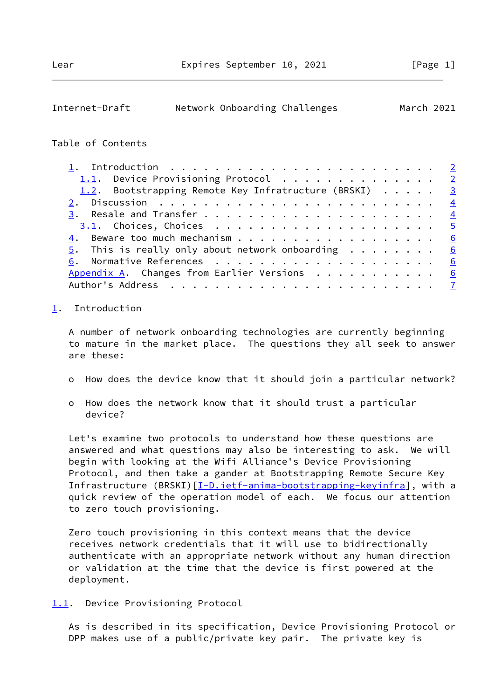<span id="page-1-1"></span>

| Internet-Draft | Network Onboarding Challenges | March 2021 |  |
|----------------|-------------------------------|------------|--|
|                |                               |            |  |

## Table of Contents

| 1. Introduction $\ldots \ldots \ldots \ldots \ldots \ldots \ldots \ldots \ldots$ |  |  |  |  |
|----------------------------------------------------------------------------------|--|--|--|--|
| 1.1. Device Provisioning Protocol 2                                              |  |  |  |  |
| 1.2. Bootstrapping Remote Key Infratructure (BRSKI) 3                            |  |  |  |  |
|                                                                                  |  |  |  |  |
|                                                                                  |  |  |  |  |
|                                                                                  |  |  |  |  |
| 4. Beware too much mechanism 6                                                   |  |  |  |  |
| $\underline{5}$ . This is really only about network onboarding 6                 |  |  |  |  |
|                                                                                  |  |  |  |  |
| Appendix A. Changes from Earlier Versions $\cdots$ 6                             |  |  |  |  |
|                                                                                  |  |  |  |  |

## <span id="page-1-0"></span>[1](#page-1-0). Introduction

 A number of network onboarding technologies are currently beginning to mature in the market place. The questions they all seek to answer are these:

- o How does the device know that it should join a particular network?
- o How does the network know that it should trust a particular device?

 Let's examine two protocols to understand how these questions are answered and what questions may also be interesting to ask. We will begin with looking at the Wifi Alliance's Device Provisioning Protocol, and then take a gander at Bootstrapping Remote Secure Key Infrastructure (BRSKI) [[I-D.ietf-anima-bootstrapping-keyinfra\]](#page-6-4), with a quick review of the operation model of each. We focus our attention to zero touch provisioning.

 Zero touch provisioning in this context means that the device receives network credentials that it will use to bidirectionally authenticate with an appropriate network without any human direction or validation at the time that the device is first powered at the deployment.

<span id="page-1-2"></span>[1.1](#page-1-2). Device Provisioning Protocol

 As is described in its specification, Device Provisioning Protocol or DPP makes use of a public/private key pair. The private key is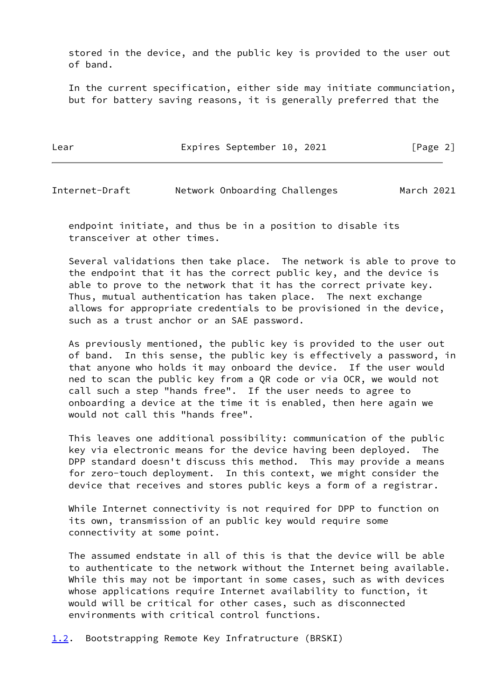stored in the device, and the public key is provided to the user out of band.

 In the current specification, either side may initiate communciation, but for battery saving reasons, it is generally preferred that the

| Lear | Expires September 10, 2021 |  | [Page 2] |  |
|------|----------------------------|--|----------|--|
|      |                            |  |          |  |

<span id="page-2-1"></span>Internet-Draft Network Onboarding Challenges March 2021

 endpoint initiate, and thus be in a position to disable its transceiver at other times.

 Several validations then take place. The network is able to prove to the endpoint that it has the correct public key, and the device is able to prove to the network that it has the correct private key. Thus, mutual authentication has taken place. The next exchange allows for appropriate credentials to be provisioned in the device, such as a trust anchor or an SAE password.

 As previously mentioned, the public key is provided to the user out of band. In this sense, the public key is effectively a password, in that anyone who holds it may onboard the device. If the user would ned to scan the public key from a QR code or via OCR, we would not call such a step "hands free". If the user needs to agree to onboarding a device at the time it is enabled, then here again we would not call this "hands free".

 This leaves one additional possibility: communication of the public key via electronic means for the device having been deployed. The DPP standard doesn't discuss this method. This may provide a means for zero-touch deployment. In this context, we might consider the device that receives and stores public keys a form of a registrar.

 While Internet connectivity is not required for DPP to function on its own, transmission of an public key would require some connectivity at some point.

 The assumed endstate in all of this is that the device will be able to authenticate to the network without the Internet being available. While this may not be important in some cases, such as with devices whose applications require Internet availability to function, it would will be critical for other cases, such as disconnected environments with critical control functions.

<span id="page-2-0"></span>[1.2](#page-2-0). Bootstrapping Remote Key Infratructure (BRSKI)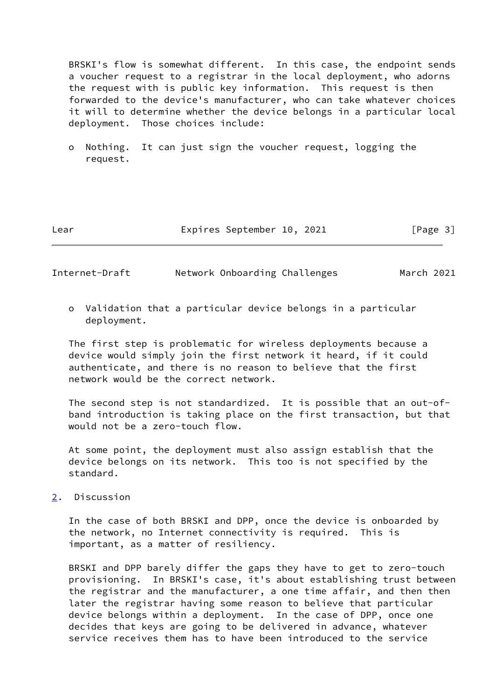BRSKI's flow is somewhat different. In this case, the endpoint sends a voucher request to a registrar in the local deployment, who adorns the request with is public key information. This request is then forwarded to the device's manufacturer, who can take whatever choices it will to determine whether the device belongs in a particular local deployment. Those choices include:

 o Nothing. It can just sign the voucher request, logging the request.

| Lear |  | Expires September 10, 2021 |  |  | [Page 3] |  |
|------|--|----------------------------|--|--|----------|--|
|------|--|----------------------------|--|--|----------|--|

<span id="page-3-1"></span>Internet-Draft Network Onboarding Challenges March 2021

 o Validation that a particular device belongs in a particular deployment.

 The first step is problematic for wireless deployments because a device would simply join the first network it heard, if it could authenticate, and there is no reason to believe that the first network would be the correct network.

 The second step is not standardized. It is possible that an out-of band introduction is taking place on the first transaction, but that would not be a zero-touch flow.

 At some point, the deployment must also assign establish that the device belongs on its network. This too is not specified by the standard.

<span id="page-3-0"></span>[2](#page-3-0). Discussion

 In the case of both BRSKI and DPP, once the device is onboarded by the network, no Internet connectivity is required. This is important, as a matter of resiliency.

 BRSKI and DPP barely differ the gaps they have to get to zero-touch provisioning. In BRSKI's case, it's about establishing trust between the registrar and the manufacturer, a one time affair, and then then later the registrar having some reason to believe that particular device belongs within a deployment. In the case of DPP, once one decides that keys are going to be delivered in advance, whatever service receives them has to have been introduced to the service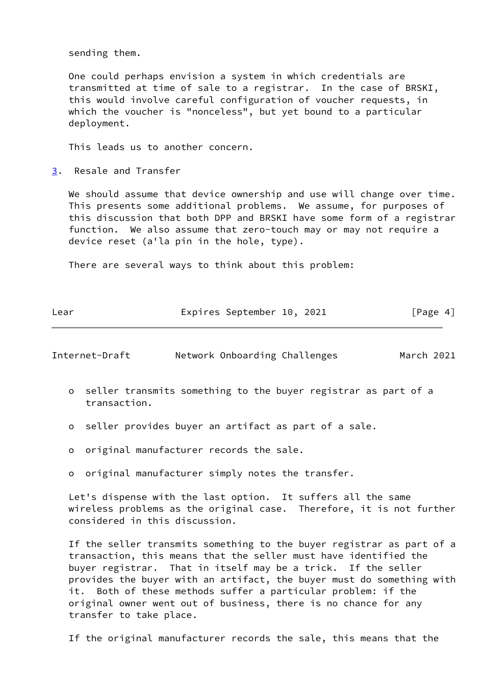sending them.

 One could perhaps envision a system in which credentials are transmitted at time of sale to a registrar. In the case of BRSKI, this would involve careful configuration of voucher requests, in which the voucher is "nonceless", but yet bound to a particular deployment.

This leads us to another concern.

<span id="page-4-0"></span>[3](#page-4-0). Resale and Transfer

We should assume that device ownership and use will change over time. This presents some additional problems. We assume, for purposes of this discussion that both DPP and BRSKI have some form of a registrar function. We also assume that zero-touch may or may not require a device reset (a'la pin in the hole, type).

There are several ways to think about this problem:

| Lear | Expires September 10, 2021 | [Page 4] |
|------|----------------------------|----------|

<span id="page-4-1"></span>Internet-Draft Network Onboarding Challenges March 2021

- o seller transmits something to the buyer registrar as part of a transaction.
- o seller provides buyer an artifact as part of a sale.
- o original manufacturer records the sale.
- o original manufacturer simply notes the transfer.

 Let's dispense with the last option. It suffers all the same wireless problems as the original case. Therefore, it is not further considered in this discussion.

 If the seller transmits something to the buyer registrar as part of a transaction, this means that the seller must have identified the buyer registrar. That in itself may be a trick. If the seller provides the buyer with an artifact, the buyer must do something with it. Both of these methods suffer a particular problem: if the original owner went out of business, there is no chance for any transfer to take place.

If the original manufacturer records the sale, this means that the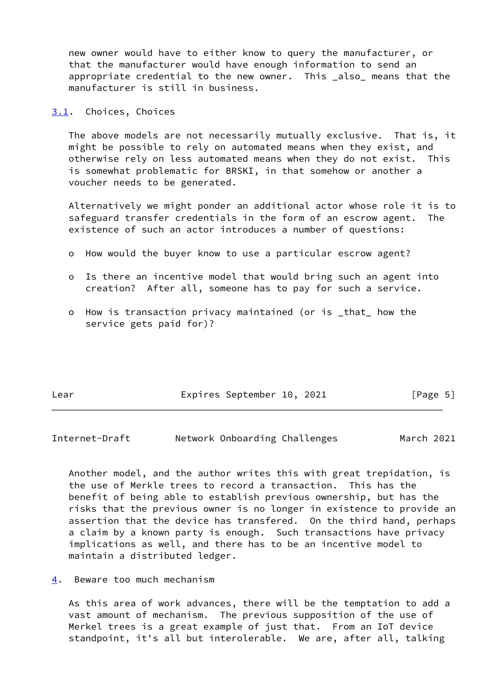new owner would have to either know to query the manufacturer, or that the manufacturer would have enough information to send an appropriate credential to the new owner. This \_also\_ means that the manufacturer is still in business.

<span id="page-5-0"></span>[3.1](#page-5-0). Choices, Choices

 The above models are not necessarily mutually exclusive. That is, it might be possible to rely on automated means when they exist, and otherwise rely on less automated means when they do not exist. This is somewhat problematic for BRSKI, in that somehow or another a voucher needs to be generated.

 Alternatively we might ponder an additional actor whose role it is to safeguard transfer credentials in the form of an escrow agent. The existence of such an actor introduces a number of questions:

- o How would the buyer know to use a particular escrow agent?
- o Is there an incentive model that would bring such an agent into creation? After all, someone has to pay for such a service.
- o How is transaction privacy maintained (or is \_that\_ how the service gets paid for)?

| Lear |  | Expires September 10, 2021 |  |  |  | [Page 5] |  |
|------|--|----------------------------|--|--|--|----------|--|
|------|--|----------------------------|--|--|--|----------|--|

<span id="page-5-2"></span>Internet-Draft Network Onboarding Challenges March 2021

 Another model, and the author writes this with great trepidation, is the use of Merkle trees to record a transaction. This has the benefit of being able to establish previous ownership, but has the risks that the previous owner is no longer in existence to provide an assertion that the device has transfered. On the third hand, perhaps a claim by a known party is enough. Such transactions have privacy implications as well, and there has to be an incentive model to maintain a distributed ledger.

<span id="page-5-1"></span>[4](#page-5-1). Beware too much mechanism

 As this area of work advances, there will be the temptation to add a vast amount of mechanism. The previous supposition of the use of Merkel trees is a great example of just that. From an IoT device standpoint, it's all but interolerable. We are, after all, talking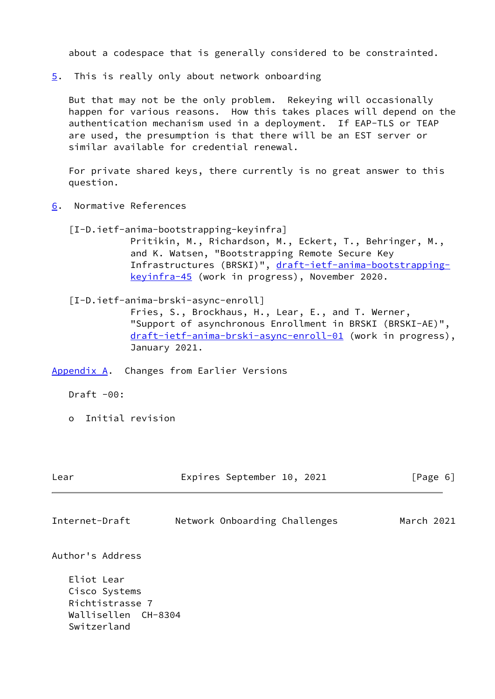about a codespace that is generally considered to be constrainted.

<span id="page-6-0"></span>[5](#page-6-0). This is really only about network onboarding

 But that may not be the only problem. Rekeying will occasionally happen for various reasons. How this takes places will depend on the authentication mechanism used in a deployment. If EAP-TLS or TEAP are used, the presumption is that there will be an EST server or similar available for credential renewal.

 For private shared keys, there currently is no great answer to this question.

- <span id="page-6-4"></span><span id="page-6-1"></span>[6](#page-6-1). Normative References
	- [I-D.ietf-anima-bootstrapping-keyinfra] Pritikin, M., Richardson, M., Eckert, T., Behringer, M., and K. Watsen, "Bootstrapping Remote Secure Key Infrastructures (BRSKI)", [draft-ietf-anima-bootstrapping](https://datatracker.ietf.org/doc/pdf/draft-ietf-anima-bootstrapping-keyinfra-45) [keyinfra-45](https://datatracker.ietf.org/doc/pdf/draft-ietf-anima-bootstrapping-keyinfra-45) (work in progress), November 2020.
	- [I-D.ietf-anima-brski-async-enroll] Fries, S., Brockhaus, H., Lear, E., and T. Werner, "Support of asynchronous Enrollment in BRSKI (BRSKI-AE)", [draft-ietf-anima-brski-async-enroll-01](https://datatracker.ietf.org/doc/pdf/draft-ietf-anima-brski-async-enroll-01) (work in progress), January 2021.

<span id="page-6-2"></span>[Appendix A.](#page-6-2) Changes from Earlier Versions

 $Draff -00:$ 

o Initial revision

<span id="page-6-3"></span>

| Lear                                                                                 | Expires September 10, 2021    | [Page 6]   |
|--------------------------------------------------------------------------------------|-------------------------------|------------|
| Internet-Draft                                                                       | Network Onboarding Challenges | March 2021 |
| Author's Address                                                                     |                               |            |
| Eliot Lear<br>Cisco Systems<br>Richtistrasse 7<br>Wallisellen CH-8304<br>Switzerland |                               |            |